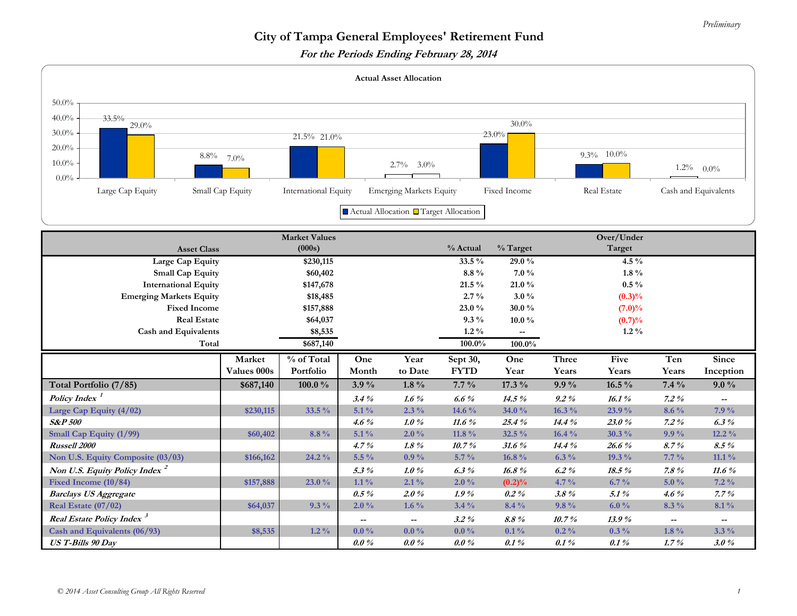## *Preliminary*

## **City of Tampa General Employees' Retirement Fund**

**For the Periods Ending February 28, 2014** 

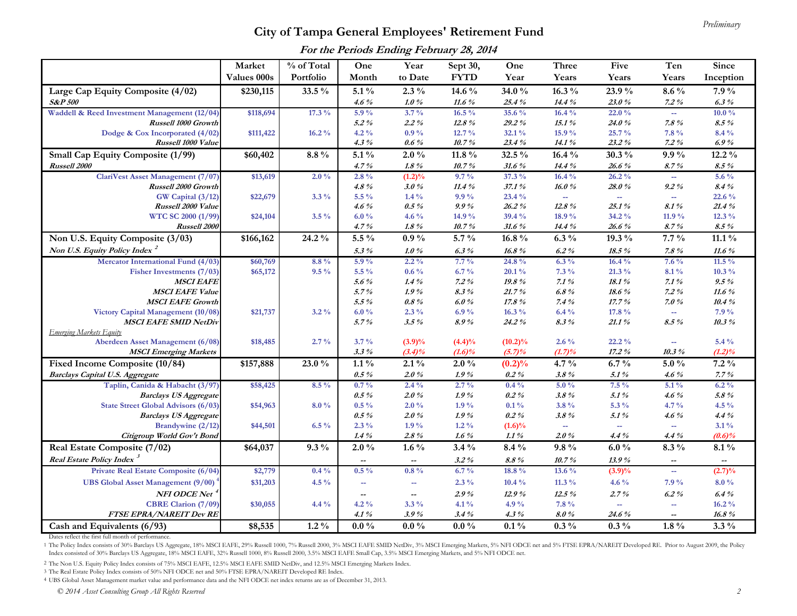## *Preliminary* **City of Tampa General Employees' Retirement Fund**

**For the Periods Ending February 28, 2014**

|                                                 | Market      | % of Total | One                      | Year                        | Sept 30,          | One                | <b>Three</b>       | Five                     | Ten                         | Since                    |
|-------------------------------------------------|-------------|------------|--------------------------|-----------------------------|-------------------|--------------------|--------------------|--------------------------|-----------------------------|--------------------------|
|                                                 | Values 000s | Portfolio  | Month                    | to Date                     | <b>FYTD</b>       | Year               | Years              | Years                    | Years                       | Inception                |
| Large Cap Equity Composite (4/02)               | \$230,115   | 33.5 %     | $5.1\%$                  | $2.3\%$                     | 14.6 %            | 34.0%              | $16.3\%$           | 23.9%                    | $8.6\%$                     | $7.9\%$                  |
| <b>S&amp;P 500</b>                              |             |            | 4.6%                     | $1.0~\%$                    | 11.6 $%$          | 25.4%              | 14.4 %             | 23.0%                    | $7.2\%$                     | 6.3%                     |
| Waddell & Reed Investment Management (12/04)    | \$118,694   | $17.3\%$   | $5.9\%$                  | $3.7\%$                     | $16.5\%$          | 35.6 %             | 16.4%              | 22.0%                    | $\mathcal{L}_{\mathcal{F}}$ | $10.0\%$                 |
| Russell 1000 Growth                             |             |            | $5.2\%$                  | $2.2\%$                     | 12.8%             | $29.2\%$           | 15.1%              | 24.0%                    | 7.8%                        | $8.5\%$                  |
| Dodge & Cox Incorporated (4/02)                 | \$111,422   | $16.2\%$   | $4.2\%$                  | $0.9\%$                     | $12.7\%$          | 32.1%              | 15.9%              | 25.7%                    | $7.8\%$                     | $8.4\%$                  |
| Russell 1000 Value                              |             |            | $4.3\%$                  | $0.6\%$                     | 10.7%             | 23.4%              | 14.1%              | 23.2%                    | $7.2\%$                     | 6.9%                     |
| Small Cap Equity Composite (1/99)               | \$60,402    | $8.8\%$    | $5.1\%$                  | $2.0\%$                     | 11.8 $\%$         | 32.5 %             | 16.4%              | $30.3\%$                 | $9.9\%$                     | $12.2\%$                 |
| Russell 2000                                    |             |            | 4.7%                     | $1.8~\%$                    | 10.7%             | 31.6%              | 14.4 %             | 26.6%                    | 8.7%                        | $8.5\%$                  |
| ClariVest Asset Management (7/07)               | \$13,619    | $2.0\%$    | $2.8\%$                  | $(1.2)\%$                   | $9.7\%$           | $37.3\%$           | $16.4\%$           | $26.2\%$                 | ш.                          | 5.6 $\%$                 |
| Russell 2000 Growth                             |             |            | $4.8\%$                  | 3.0%                        | 11.4%             | 37.1%              | 16.0%              | 28.0%                    | $9.2~\%$                    | 8.4%                     |
| GW Capital (3/12)                               | \$22,679    | $3.3\%$    | 5.5 %                    | $1.4\%$                     | $9.9\%$           | 23.4 %             | $\sim$             | $\overline{\phantom{a}}$ | $\sim$                      | 22.6 %                   |
| Russell 2000 Value<br>WTC SC 2000 (1/99)        | \$24,104    | $3.5\%$    | $4.6\%$<br>6.0%          | $0.5\%$<br>4.6 $%$          | 9.9%<br>14.9 $\%$ | $26.2\%$<br>39.4 % | 12.8 $\%$<br>18.9% | 25.1%<br>34.2 %          | 8.1%<br>11.9 %              | 21.4%<br>$12.3\%$        |
| Russell 2000                                    |             |            | 4.7%                     | $1.8 \%$                    | 10.7%             | 31.6%              | 14.4 %             | 26.6%                    | 8.7%                        | $8.5\%$                  |
| Non U.S. Equity Composite (3/03)                | \$166,162   | 24.2 %     | $5.5\%$                  | $0.9\%$                     | $5.7\%$           | $16.8\%$           | $6.3\%$            | 19.3 %                   | $7.7\%$                     | $11.1\%$                 |
| Non U.S. Equity Policy Index <sup>2</sup>       |             |            | 5.3%                     | 1.0%                        | $6.3\%$           | 16.8%              | $6.2\%$            | $18.5\%$                 | 7.8%                        | 11.6 $%$                 |
| Mercator International Fund (4/03)              | \$60,769    | $8.8\%$    | 5.9%                     | $2.2\%$                     | $7.7\%$           | 24.8%              | $6.3\%$            | 16.4%                    | $7.6\%$                     | 11.5 $\%$                |
| Fisher Investments (7/03)                       | \$65,172    | $9.5\%$    | $5.5\%$                  | $0.6\%$                     | $6.7\%$           | $20.1\%$           | $7.3\%$            | $21.3\%$                 | $8.1\%$                     | $10.3\%$                 |
| <b>MSCI EAFE</b>                                |             |            | 5.6%                     | $1.4\%$                     | $7.2\%$           | 19.8%              | 7.1%               | 18.1%                    | 7.1%                        | $9.5\%$                  |
| <b>MSCI EAFE Value</b>                          |             |            | 5.7%                     | 1.9%                        | $8.3\%$           | 21.7%              | $6.8\%$            | 18.6%                    | $7.2\%$                     | $11.6~\%$                |
| <b>MSCI EAFE Growth</b>                         |             |            | 5.5%                     | $0.8\%$                     | 6.0%              | 17.8%              | 7.4%               | 17.7%                    | 7.0%                        | 10.4%                    |
| Victory Capital Management (10/08)              | \$21,737    | $3.2\%$    | $6.0\%$                  | $2.3\%$                     | 6.9%              | $16.3\%$           | $6.4\%$            | 17.8 %                   | $\sim$                      | $7.9\%$                  |
| <b>MSCI EAFE SMID NetDiv</b>                    |             |            | 5.7%                     | 3.5%                        | 8.9%              | 24.2%              | $8.3\%$            | 21.1%                    | $8.5\%$                     | 10.3%                    |
| <b>Emerging Markets Equity</b>                  |             |            |                          |                             |                   |                    |                    |                          |                             |                          |
| Aberdeen Asset Management (6/08)                | \$18,485    | $2.7\%$    | $3.7\%$                  | (3.9)%                      | $(4.4)\%$         | $(10.2)\%$         | $2.6\%$            | 22.2%                    | $\sim$ $\sim$               | $5.4\%$                  |
| <b>MSCI</b> Emerging Markets                    |             |            | $3.3\%$                  | $(3.4)\%$                   | $(1.6)\%$         | (5.7)%             | (1.7)%             | 17.2%                    | 10.3%                       | $(1.2)\%$                |
| Fixed Income Composite (10/84)                  | \$157,888   | $23.0 \%$  | $1.1\%$                  | $2.1\%$                     | $2.0\%$           | (0.2)%             | 4.7 $\%$           | $6.7\%$                  | $5.0\%$                     | $7.2\%$                  |
| <b>Barclays Capital U.S. Aggregate</b>          |             |            | $0.5\%$                  | 2.0%                        | 1.9%              | $0.2\%$            | $3.8~\%$           | 5.1%                     | 4.6%                        | $7.7\%$                  |
| Taplin, Canida & Habacht (3/97)                 | \$58,425    | $8.5\%$    | $0.7\%$                  | $2.4\%$                     | $2.7\%$           | $0.4\%$            | $5.0\%$            | $7.5\%$                  | $5.1\%$                     | $6.2\%$                  |
| <b>Barclays US Aggregate</b>                    |             |            | $0.5\%$                  | 2.0%                        | 1.9%              | $0.2\%$            | $3.8\%$            | 5.1%                     | 4.6%                        | $5.8~\%$                 |
| State Street Global Advisors (6/03)             | \$54,963    | $8.0\%$    | $0.5\%$                  | $2.0\%$                     | $1.9\%$           | $0.1\%$            | 3.8 %              | 5.3 %                    | 4.7 $\%$                    | 4.5 $\%$                 |
| <b>Barclays US Aggregate</b>                    |             |            | $0.5\%$                  | 2.0%                        | 1.9%              | $0.2\%$            | $3.8\%$            | $5.1\%$                  | $4.6\%$                     | 4.4%                     |
| Brandywine (2/12)<br>Citigroup World Gov't Bond | \$44,501    | $6.5\%$    | $2.3\%$                  | $1.9\%$                     | $1.2\%$           | $(1.6)\%$          | $\sim$             | $\overline{\phantom{a}}$ | ÷.                          | $3.1\%$                  |
|                                                 |             |            | $1.4\%$                  | $2.8\%$                     | $1.6\%$           | $1.1\,\%$          | 2.0%               | $4.4\%$                  | 4.4%                        | (0.6)%                   |
| Real Estate Composite (7/02)                    | \$64,037    | $9.3\%$    | $2.0\%$                  | 1.6 $\%$                    | $3.4\%$           | $8.4\%$            | $9.8\%$            | $6.0\,\%$                | $8.3\%$                     | $8.1\%$                  |
| Real Estate Policy Index <sup>3</sup>           |             |            | $\overline{\phantom{a}}$ | $\overline{\phantom{a}}$    | $3.2\%$           | $8.8\%$            | 10.7%              | 13.9%                    | $\overline{\phantom{a}}$    | $\overline{\phantom{a}}$ |
| Private Real Estate Composite (6/04)            | \$2,779     | $0.4\%$    | $0.5\%$                  | $0.8\%$                     | $6.7\%$           | 18.8 %             | $13.6\%$           | $(3.9)\%$                | ÷.                          | (2.7)%                   |
| <b>UBS Global Asset Management (9/00)</b>       | \$31,203    | 4.5 $\%$   | $\overline{a}$           | $\mathcal{L}_{\mathcal{F}}$ | $2.3\%$           | $10.4\%$           | 11.3 $\%$          | 4.6 $\%$                 | $7.9\%$                     | $8.0\%$                  |
| NFI ODCE Net <sup>4</sup>                       |             |            | $\overline{\phantom{a}}$ | $\overline{\phantom{m}}$    | 2.9%              | 12.9%              | 12.5%              | 2.7%                     | 6.2%                        | 6.4%                     |
| <b>CBRE Clarion (7/09)</b>                      | \$30,055    | $4.4\%$    | $4.2\%$                  | $3.3\%$                     | $4.1\%$           | 4.9%               | $7.8\,\%$          | $\rightarrow$            | ÷.                          | $16.2\%$                 |
| FTSE EPRA/NAREIT Dev RE                         |             |            | $4.1\%$                  | 3.9%                        | 3.4%              | $4.3\%$            | $8.0~\%$           | 24.6%                    |                             | 16.8%                    |
| Cash and Equivalents (6/93)                     | \$8,535     | $1.2\%$    | $0.0\%$                  | $0.0\%$                     | $0.0\%$           | $0.1\%$            | $0.3\%$            | $0.3\%$                  | $1.8\%$                     | $3.3\%$                  |

Dates reflect the first full month of performance.

<sup>1</sup> The Policy Index consists of 30% Barclays US Aggregate, 18% MSCI EAFE, 29% Russell 1000, 7% Russell 2000, 3% MSCI EAFE SMID NerDiv, 3% MSCI Emerging Markets, 5% NFI ODCE net and 5% FTSE EPRA/NAREIT Developed RE. Prior Index consisted of 30% Barclays US Aggregate, 18% MSCI EAFE, 32% Russell 1000, 8% Russell 2000, 3.5% MSCI EAFE Small Cap, 3.5% MSCI Emerging Markets, and 5% NFI ODCE net.

2 The Non U.S. Equity Policy Index consists of 75% MSCI EAFE, 12.5% MSCI EAFE SMID NetDiv, and 12.5% MSCI Emerging Markets Index.

3 The Real Estate Policy Index consists of 50% NFI ODCE net and 50% FTSE EPRA/NAREIT Developed RE Index.

4 UBS Global Asset Management market value and performance data and the NFI ODCE net index returns are as of December 31, 2013.